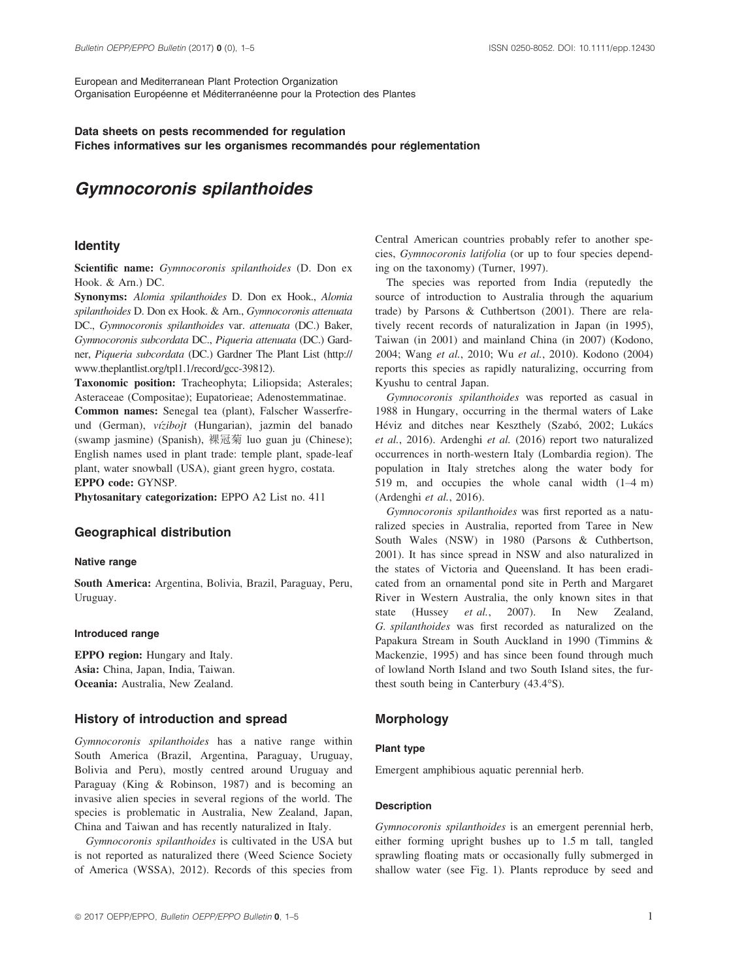European and Mediterranean Plant Protection Organization Organisation Européenne et Méditerranéenne pour la Protection des Plantes

# Data sheets on pests recommended for regulation Fiches informatives sur les organismes recommandés pour réglementation

# Gymnocoronis spilanthoides

# **Identity**

Scientific name: Gymnocoronis spilanthoides (D. Don ex Hook. & Arn.) DC.

Synonyms: Alomia spilanthoides D. Don ex Hook., Alomia spilanthoides D. Don ex Hook. & Arn., Gymnocoronis attenuata DC., Gymnocoronis spilanthoides var. attenuata (DC.) Baker, Gymnocoronis subcordata DC., Piqueria attenuata (DC.) Gardner, Piqueria subcordata (DC.) Gardner The Plant List [\(http://](http://www.theplantlist.org/tpl1.1/record/gcc-39812) [www.theplantlist.org/tpl1.1/record/gcc-39812\)](http://www.theplantlist.org/tpl1.1/record/gcc-39812).

Taxonomic position: Tracheophyta; Liliopsida; Asterales; Asteraceae (Compositae); Eupatorieae; Adenostemmatinae.

Common names: Senegal tea (plant), Falscher Wasserfreund (German), vízibojt (Hungarian), jazmin del banado (swamp jasmine) (Spanish), 裸冠菊 luo guan ju (Chinese); English names used in plant trade: temple plant, spade-leaf plant, water snowball (USA), giant green hygro, costata. EPPO code: GYNSP.

Phytosanitary categorization: EPPO A2 List no. 411

# Geographical distribution

## Native range

South America: Argentina, Bolivia, Brazil, Paraguay, Peru, Uruguay.

#### Introduced range

EPPO region: Hungary and Italy. Asia: China, Japan, India, Taiwan. Oceania: Australia, New Zealand.

# History of introduction and spread

Gymnocoronis spilanthoides has a native range within South America (Brazil, Argentina, Paraguay, Uruguay, Bolivia and Peru), mostly centred around Uruguay and Paraguay (King & Robinson, 1987) and is becoming an invasive alien species in several regions of the world. The species is problematic in Australia, New Zealand, Japan, China and Taiwan and has recently naturalized in Italy.

Gymnocoronis spilanthoides is cultivated in the USA but is not reported as naturalized there (Weed Science Society of America (WSSA), 2012). Records of this species from Central American countries probably refer to another species, Gymnocoronis latifolia (or up to four species depending on the taxonomy) (Turner, 1997).

The species was reported from India (reputedly the source of introduction to Australia through the aquarium trade) by Parsons & Cuthbertson (2001). There are relatively recent records of naturalization in Japan (in 1995), Taiwan (in 2001) and mainland China (in 2007) (Kodono, 2004; Wang et al., 2010; Wu et al., 2010). Kodono (2004) reports this species as rapidly naturalizing, occurring from Kyushu to central Japan.

Gymnocoronis spilanthoides was reported as casual in 1988 in Hungary, occurring in the thermal waters of Lake Héviz and ditches near Keszthely (Szabó, 2002; Lukács et al., 2016). Ardenghi et al. (2016) report two naturalized occurrences in north-western Italy (Lombardia region). The population in Italy stretches along the water body for 519 m, and occupies the whole canal width (1–4 m) (Ardenghi et al., 2016).

Gymnocoronis spilanthoides was first reported as a naturalized species in Australia, reported from Taree in New South Wales (NSW) in 1980 (Parsons & Cuthbertson, 2001). It has since spread in NSW and also naturalized in the states of Victoria and Queensland. It has been eradicated from an ornamental pond site in Perth and Margaret River in Western Australia, the only known sites in that state (Hussey *et al.*, 2007). In New Zealand, G. spilanthoides was first recorded as naturalized on the Papakura Stream in South Auckland in 1990 (Timmins & Mackenzie, 1995) and has since been found through much of lowland North Island and two South Island sites, the furthest south being in Canterbury (43.4°S).

# Morphology

# Plant type

Emergent amphibious aquatic perennial herb.

## Description

Gymnocoronis spilanthoides is an emergent perennial herb, either forming upright bushes up to 1.5 m tall, tangled sprawling floating mats or occasionally fully submerged in shallow water (see Fig. 1). Plants reproduce by seed and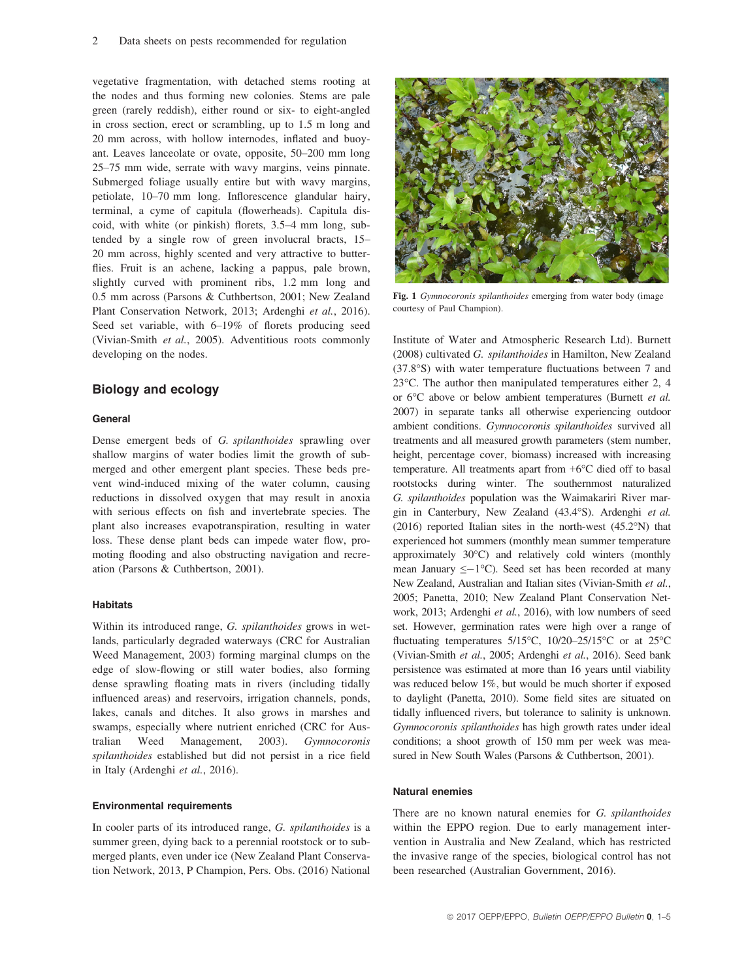vegetative fragmentation, with detached stems rooting at the nodes and thus forming new colonies. Stems are pale green (rarely reddish), either round or six- to eight-angled in cross section, erect or scrambling, up to 1.5 m long and 20 mm across, with hollow internodes, inflated and buoyant. Leaves lanceolate or ovate, opposite, 50–200 mm long 25–75 mm wide, serrate with wavy margins, veins pinnate. Submerged foliage usually entire but with wavy margins, petiolate, 10–70 mm long. Inflorescence glandular hairy, terminal, a cyme of capitula (flowerheads). Capitula discoid, with white (or pinkish) florets, 3.5–4 mm long, subtended by a single row of green involucral bracts, 15– 20 mm across, highly scented and very attractive to butterflies. Fruit is an achene, lacking a pappus, pale brown, slightly curved with prominent ribs, 1.2 mm long and 0.5 mm across (Parsons & Cuthbertson, 2001; New Zealand Plant Conservation Network, 2013; Ardenghi et al., 2016). Seed set variable, with 6–19% of florets producing seed (Vivian-Smith et al., 2005). Adventitious roots commonly developing on the nodes.

# Biology and ecology

#### General

Dense emergent beds of G. spilanthoides sprawling over shallow margins of water bodies limit the growth of submerged and other emergent plant species. These beds prevent wind-induced mixing of the water column, causing reductions in dissolved oxygen that may result in anoxia with serious effects on fish and invertebrate species. The plant also increases evapotranspiration, resulting in water loss. These dense plant beds can impede water flow, promoting flooding and also obstructing navigation and recreation (Parsons & Cuthbertson, 2001).

# **Habitats**

Within its introduced range, G. spilanthoides grows in wetlands, particularly degraded waterways (CRC for Australian Weed Management, 2003) forming marginal clumps on the edge of slow-flowing or still water bodies, also forming dense sprawling floating mats in rivers (including tidally influenced areas) and reservoirs, irrigation channels, ponds, lakes, canals and ditches. It also grows in marshes and swamps, especially where nutrient enriched (CRC for Australian Weed Management, 2003). Gymnocoronis spilanthoides established but did not persist in a rice field in Italy (Ardenghi et al., 2016).

#### Environmental requirements

In cooler parts of its introduced range, G. spilanthoides is a summer green, dying back to a perennial rootstock or to submerged plants, even under ice (New Zealand Plant Conservation Network, 2013, P Champion, Pers. Obs. (2016) National



Fig. 1 Gymnocoronis spilanthoides emerging from water body (image courtesy of Paul Champion).

Institute of Water and Atmospheric Research Ltd). Burnett (2008) cultivated G. spilanthoides in Hamilton, New Zealand (37.8°S) with water temperature fluctuations between 7 and 23°C. The author then manipulated temperatures either 2, 4 or 6°C above or below ambient temperatures (Burnett et al. 2007) in separate tanks all otherwise experiencing outdoor ambient conditions. Gymnocoronis spilanthoides survived all treatments and all measured growth parameters (stem number, height, percentage cover, biomass) increased with increasing temperature. All treatments apart from +6°C died off to basal rootstocks during winter. The southernmost naturalized G. spilanthoides population was the Waimakariri River margin in Canterbury, New Zealand (43.4°S). Ardenghi et al. (2016) reported Italian sites in the north-west (45.2°N) that experienced hot summers (monthly mean summer temperature approximately 30°C) and relatively cold winters (monthly mean January  $\leq -1$ °C). Seed set has been recorded at many New Zealand, Australian and Italian sites (Vivian-Smith et al., 2005; Panetta, 2010; New Zealand Plant Conservation Network, 2013; Ardenghi et al., 2016), with low numbers of seed set. However, germination rates were high over a range of fluctuating temperatures 5/15°C, 10/20–25/15°C or at 25°C (Vivian-Smith et al., 2005; Ardenghi et al., 2016). Seed bank persistence was estimated at more than 16 years until viability was reduced below 1%, but would be much shorter if exposed to daylight (Panetta, 2010). Some field sites are situated on tidally influenced rivers, but tolerance to salinity is unknown. Gymnocoronis spilanthoides has high growth rates under ideal conditions; a shoot growth of 150 mm per week was measured in New South Wales (Parsons & Cuthbertson, 2001).

# Natural enemies

There are no known natural enemies for G. spilanthoides within the EPPO region. Due to early management intervention in Australia and New Zealand, which has restricted the invasive range of the species, biological control has not been researched (Australian Government, 2016).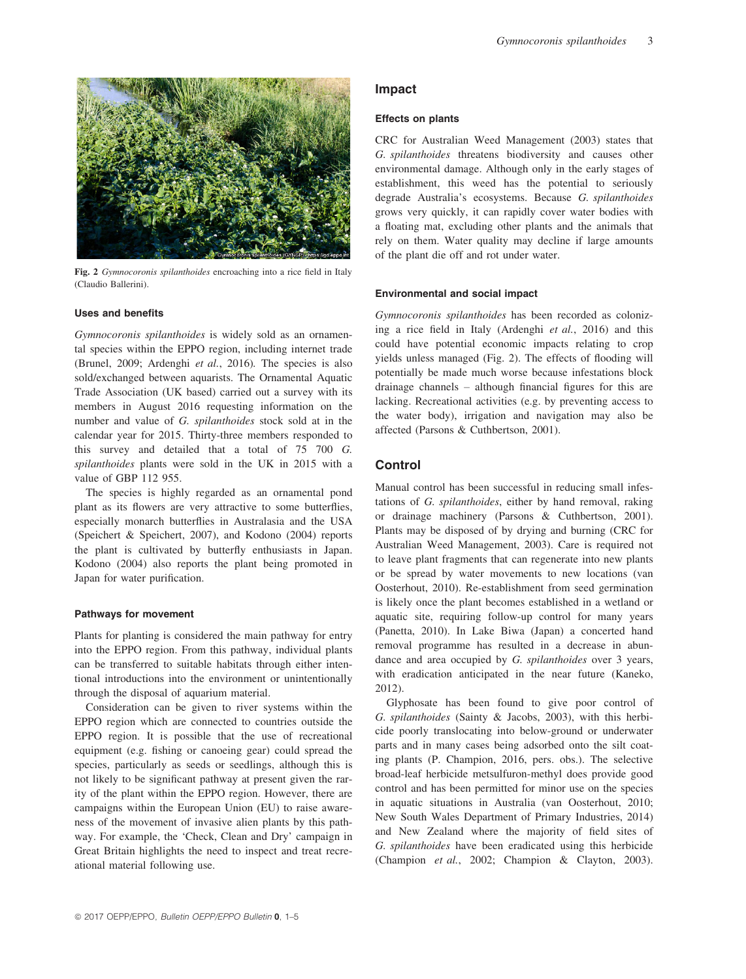

Fig. 2 Gymnocoronis spilanthoides encroaching into a rice field in Italy (Claudio Ballerini).

## Uses and benefits

Gymnocoronis spilanthoides is widely sold as an ornamental species within the EPPO region, including internet trade (Brunel, 2009; Ardenghi et al., 2016). The species is also sold/exchanged between aquarists. The Ornamental Aquatic Trade Association (UK based) carried out a survey with its members in August 2016 requesting information on the number and value of G. spilanthoides stock sold at in the calendar year for 2015. Thirty-three members responded to this survey and detailed that a total of 75 700 G. spilanthoides plants were sold in the UK in 2015 with a value of GBP 112 955.

The species is highly regarded as an ornamental pond plant as its flowers are very attractive to some butterflies, especially monarch butterflies in Australasia and the USA (Speichert & Speichert, 2007), and Kodono (2004) reports the plant is cultivated by butterfly enthusiasts in Japan. Kodono (2004) also reports the plant being promoted in Japan for water purification.

## Pathways for movement

Plants for planting is considered the main pathway for entry into the EPPO region. From this pathway, individual plants can be transferred to suitable habitats through either intentional introductions into the environment or unintentionally through the disposal of aquarium material.

Consideration can be given to river systems within the EPPO region which are connected to countries outside the EPPO region. It is possible that the use of recreational equipment (e.g. fishing or canoeing gear) could spread the species, particularly as seeds or seedlings, although this is not likely to be significant pathway at present given the rarity of the plant within the EPPO region. However, there are campaigns within the European Union (EU) to raise awareness of the movement of invasive alien plants by this pathway. For example, the 'Check, Clean and Dry' campaign in Great Britain highlights the need to inspect and treat recreational material following use.

# Impact

## Effects on plants

CRC for Australian Weed Management (2003) states that G. spilanthoides threatens biodiversity and causes other environmental damage. Although only in the early stages of establishment, this weed has the potential to seriously degrade Australia's ecosystems. Because G. spilanthoides grows very quickly, it can rapidly cover water bodies with a floating mat, excluding other plants and the animals that rely on them. Water quality may decline if large amounts of the plant die off and rot under water.

#### Environmental and social impact

Gymnocoronis spilanthoides has been recorded as colonizing a rice field in Italy (Ardenghi et al., 2016) and this could have potential economic impacts relating to crop yields unless managed (Fig. 2). The effects of flooding will potentially be made much worse because infestations block drainage channels – although financial figures for this are lacking. Recreational activities (e.g. by preventing access to the water body), irrigation and navigation may also be affected (Parsons & Cuthbertson, 2001).

# **Control**

Manual control has been successful in reducing small infestations of G. spilanthoides, either by hand removal, raking or drainage machinery (Parsons & Cuthbertson, 2001). Plants may be disposed of by drying and burning (CRC for Australian Weed Management, 2003). Care is required not to leave plant fragments that can regenerate into new plants or be spread by water movements to new locations (van Oosterhout, 2010). Re-establishment from seed germination is likely once the plant becomes established in a wetland or aquatic site, requiring follow-up control for many years (Panetta, 2010). In Lake Biwa (Japan) a concerted hand removal programme has resulted in a decrease in abundance and area occupied by G. spilanthoides over 3 years, with eradication anticipated in the near future (Kaneko, 2012).

Glyphosate has been found to give poor control of G. spilanthoides (Sainty & Jacobs, 2003), with this herbicide poorly translocating into below-ground or underwater parts and in many cases being adsorbed onto the silt coating plants (P. Champion, 2016, pers. obs.). The selective broad-leaf herbicide metsulfuron-methyl does provide good control and has been permitted for minor use on the species in aquatic situations in Australia (van Oosterhout, 2010; New South Wales Department of Primary Industries, 2014) and New Zealand where the majority of field sites of G. spilanthoides have been eradicated using this herbicide (Champion et al., 2002; Champion & Clayton, 2003).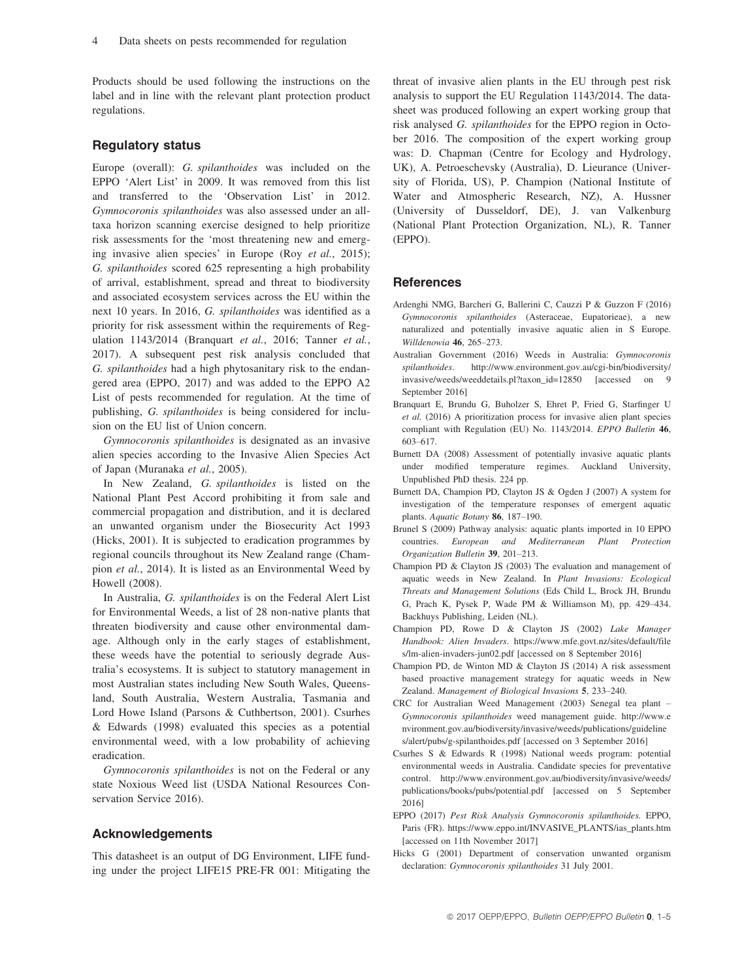Products should be used following the instructions on the label and in line with the relevant plant protection product regulations.

# Regulatory status

Europe (overall): G. spilanthoides was included on the EPPO 'Alert List' in 2009. It was removed from this list and transferred to the 'Observation List' in 2012. Gymnocoronis spilanthoides was also assessed under an alltaxa horizon scanning exercise designed to help prioritize risk assessments for the 'most threatening new and emerging invasive alien species' in Europe (Roy et al., 2015); G. spilanthoides scored 625 representing a high probability of arrival, establishment, spread and threat to biodiversity and associated ecosystem services across the EU within the next 10 years. In 2016, G. spilanthoides was identified as a priority for risk assessment within the requirements of Regulation 1143/2014 (Branquart et al., 2016; Tanner et al., 2017). A subsequent pest risk analysis concluded that G. spilanthoides had a high phytosanitary risk to the endangered area (EPPO, 2017) and was added to the EPPO A2 List of pests recommended for regulation. At the time of publishing, G. spilanthoides is being considered for inclusion on the EU list of Union concern.

Gymnocoronis spilanthoides is designated as an invasive alien species according to the Invasive Alien Species Act of Japan (Muranaka et al., 2005).

In New Zealand, G. spilanthoides is listed on the National Plant Pest Accord prohibiting it from sale and commercial propagation and distribution, and it is declared an unwanted organism under the Biosecurity Act 1993 (Hicks, 2001). It is subjected to eradication programmes by regional councils throughout its New Zealand range (Champion et al., 2014). It is listed as an Environmental Weed by Howell (2008).

In Australia, G. spilanthoides is on the Federal Alert List for Environmental Weeds, a list of 28 non-native plants that threaten biodiversity and cause other environmental damage. Although only in the early stages of establishment, these weeds have the potential to seriously degrade Australia's ecosystems. It is subject to statutory management in most Australian states including New South Wales, Queensland, South Australia, Western Australia, Tasmania and Lord Howe Island (Parsons & Cuthbertson, 2001). Csurhes & Edwards (1998) evaluated this species as a potential environmental weed, with a low probability of achieving eradication.

Gymnocoronis spilanthoides is not on the Federal or any state Noxious Weed list (USDA National Resources Conservation Service 2016).

# Acknowledgements

This datasheet is an output of DG Environment, LIFE funding under the project LIFE15 PRE-FR 001: Mitigating the threat of invasive alien plants in the EU through pest risk analysis to support the EU Regulation 1143/2014. The datasheet was produced following an expert working group that risk analysed G. spilanthoides for the EPPO region in October 2016. The composition of the expert working group was: D. Chapman (Centre for Ecology and Hydrology, UK), A. Petroeschevsky (Australia), D. Lieurance (University of Florida, US), P. Champion (National Institute of Water and Atmospheric Research, NZ), A. Hussner (University of Dusseldorf, DE), J. van Valkenburg (National Plant Protection Organization, NL), R. Tanner (EPPO).

## **References**

- Ardenghi NMG, Barcheri G, Ballerini C, Cauzzi P & Guzzon F (2016) Gymnocoronis spilanthoides (Asteraceae, Eupatorieae), a new naturalized and potentially invasive aquatic alien in S Europe. Willdenowia 46, 265–273.
- Australian Government (2016) Weeds in Australia: Gymnocoronis spilanthoides. [http://www.environment.gov.au/cgi-bin/biodiversity/](http://www.environment.gov.au/cgi-bin/biodiversity/invasive/weeds/weeddetails.pl?taxon_id=12850) [invasive/weeds/weeddetails.pl?taxon\\_id=12850](http://www.environment.gov.au/cgi-bin/biodiversity/invasive/weeds/weeddetails.pl?taxon_id=12850) [accessed on 9 September 2016]
- Branquart E, Brundu G, Buholzer S, Ehret P, Fried G, Starfinger U et al. (2016) A prioritization process for invasive alien plant species compliant with Regulation (EU) No. 1143/2014. EPPO Bulletin 46, 603–617.
- Burnett DA (2008) Assessment of potentially invasive aquatic plants under modified temperature regimes. Auckland University, Unpublished PhD thesis. 224 pp.
- Burnett DA, Champion PD, Clayton JS & Ogden J (2007) A system for investigation of the temperature responses of emergent aquatic plants. Aquatic Botany 86, 187–190.
- Brunel S (2009) Pathway analysis: aquatic plants imported in 10 EPPO countries. European and Mediterranean Plant Protection Organization Bulletin 39, 201–213.
- Champion PD & Clayton JS (2003) The evaluation and management of aquatic weeds in New Zealand. In Plant Invasions: Ecological Threats and Management Solutions (Eds Child L, Brock JH, Brundu G, Prach K, Pysek P, Wade PM & Williamson M), pp. 429–434. Backhuys Publishing, Leiden (NL).
- Champion PD, Rowe D & Clayton JS (2002) Lake Manager Handbook: Alien Invaders. [https://www.mfe.govt.nz/sites/default/file](https://www.mfe.govt.nz/sites/default/files/lm-alien-invaders-jun02.pdf) [s/lm-alien-invaders-jun02.pdf](https://www.mfe.govt.nz/sites/default/files/lm-alien-invaders-jun02.pdf) [accessed on 8 September 2016]
- Champion PD, de Winton MD & Clayton JS (2014) A risk assessment based proactive management strategy for aquatic weeds in New Zealand. Management of Biological Invasions 5, 233–240.
- CRC for Australian Weed Management (2003) Senegal tea plant Gymnocoronis spilanthoides weed management guide. [http://www.e](http://www.environment.gov.au/biodiversity/invasive/weeds/publications/guidelines/alert/pubs/g-spilanthoides.pdf) [nvironment.gov.au/biodiversity/invasive/weeds/publications/guideline](http://www.environment.gov.au/biodiversity/invasive/weeds/publications/guidelines/alert/pubs/g-spilanthoides.pdf) [s/alert/pubs/g-spilanthoides.pdf](http://www.environment.gov.au/biodiversity/invasive/weeds/publications/guidelines/alert/pubs/g-spilanthoides.pdf) [accessed on 3 September 2016]
- Csurhes S & Edwards R (1998) National weeds program: potential environmental weeds in Australia. Candidate species for preventative control. [http://www.environment.gov.au/biodiversity/invasive/weeds/](http://www.environment.gov.au/biodiversity/invasive/weeds/publications/books/pubs/potential.pdf) [publications/books/pubs/potential.pdf](http://www.environment.gov.au/biodiversity/invasive/weeds/publications/books/pubs/potential.pdf) [accessed on 5 September 2016]
- EPPO (2017) Pest Risk Analysis Gymnocoronis spilanthoides. EPPO, Paris (FR). [https://www.eppo.int/INVASIVE\\_PLANTS/ias\\_plants.htm](https://www.eppo.int/INVASIVE_PLANTS/ias_plants.htm) [accessed on 11th November 2017]
- Hicks G (2001) Department of conservation unwanted organism declaration: Gymnocoronis spilanthoides 31 July 2001.